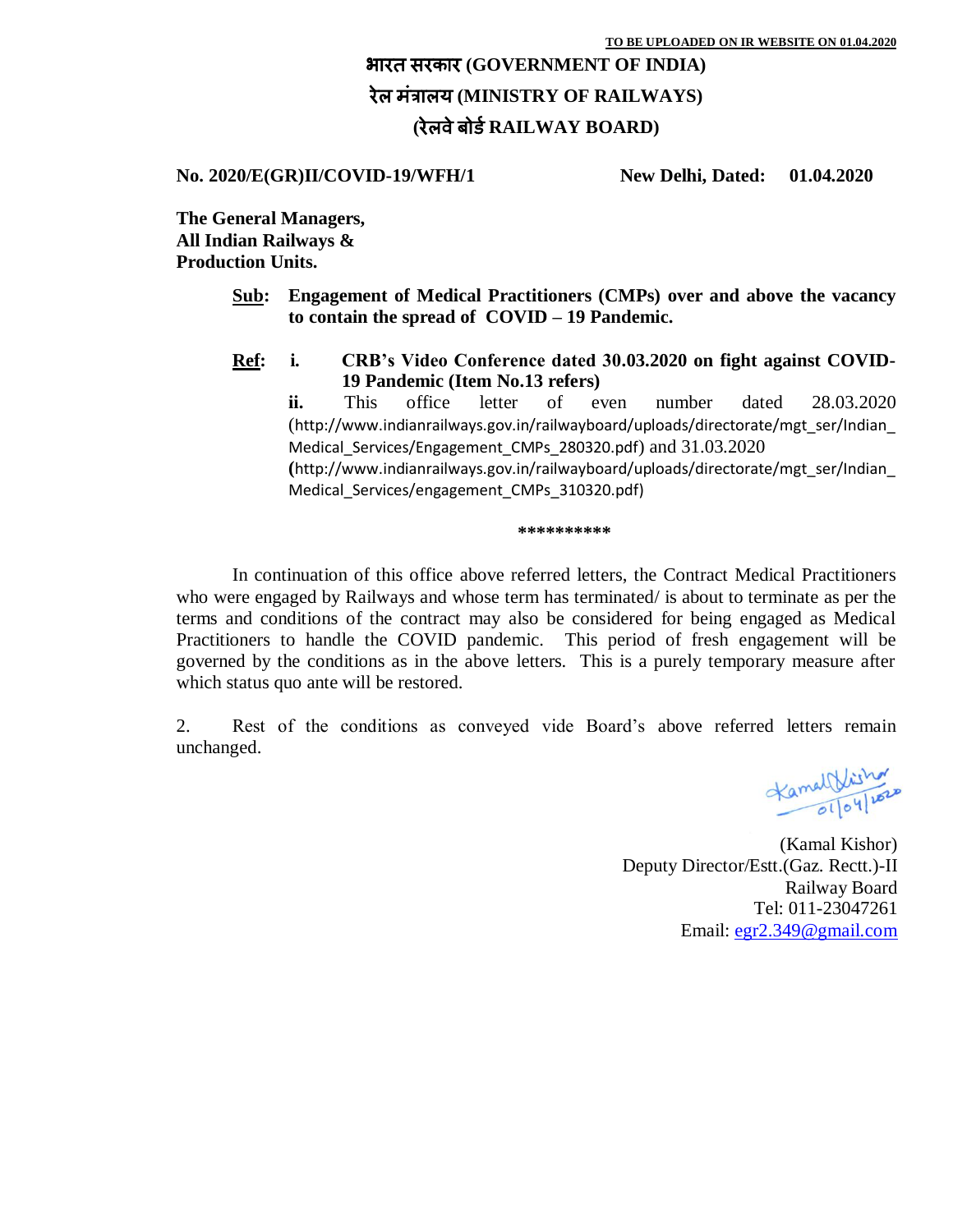## भारत सरकार **(GOVERNMENT OF INDIA)** रेल मंत्रालय **(MINISTRY OF RAILWAYS) (**रेलवेबोर्ड**RAILWAY BOARD)**

**No. 2020/E(GR)II/COVID-19/WFH/1 New Delhi, Dated: 01.04.2020**

**The General Managers, All Indian Railways & Production Units.**

- **Sub: Engagement of Medical Practitioners (CMPs) over and above the vacancy to contain the spread of COVID – 19 Pandemic.**
- **Ref: i. CRB's Video Conference dated 30.03.2020 on fight against COVID-19 Pandemic (Item No.13 refers)**

**ii.** This office letter of even number dated 28.03.2020 ([http://www.indianrailways.gov.in/railwayboard/uploads/directorate/mgt\\_ser/Indian\\_](http://www.indianrailways.gov.in/railwayboard/uploads/directorate/mgt_ser/Indian_Medical_Services/Engagement_CMPs_280320.pdf) [Medical\\_Services/Engagement\\_CMPs\\_280320.pdf](http://www.indianrailways.gov.in/railwayboard/uploads/directorate/mgt_ser/Indian_Medical_Services/Engagement_CMPs_280320.pdf)) and 31.03.2020 **(**[http://www.indianrailways.gov.in/railwayboard/uploads/directorate/mgt\\_ser/Indian\\_](http://www.indianrailways.gov.in/railwayboard/uploads/directorate/mgt_ser/Indian_Medical_Services/engagement_CMPs_310320.pdf) [Medical\\_Services/engagement\\_CMPs\\_310320.pdf\)](http://www.indianrailways.gov.in/railwayboard/uploads/directorate/mgt_ser/Indian_Medical_Services/engagement_CMPs_310320.pdf)

## **\*\*\*\*\*\*\*\*\*\***

In continuation of this office above referred letters, the Contract Medical Practitioners who were engaged by Railways and whose term has terminated/ is about to terminate as per the terms and conditions of the contract may also be considered for being engaged as Medical Practitioners to handle the COVID pandemic. This period of fresh engagement will be governed by the conditions as in the above letters. This is a purely temporary measure after which status quo ante will be restored.

2. Rest of the conditions as conveyed vide Board's above referred letters remain unchanged.

Kamal Visitor

(Kamal Kishor) Deputy Director/Estt.(Gaz. Rectt.)-II Railway Board Tel: 011-23047261 Email: [egr2.349@gmail.com](mailto:egr2.349@gmail.com)